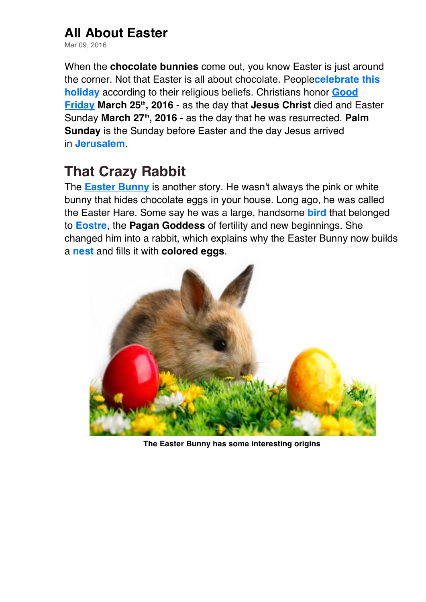## **All About Easter**

Mar 09, 2016

When the **chocolate bunnies** come out, you know Easter is just around the corner. Not that Easter is all about chocolate. People**celebrate this holiday** according to their religious beliefs. Christians honor **Good Friday March 25th, 2016** - as the day that **Jesus Christ** died and Easter Sunday March 27<sup>th</sup>, 2016 - as the day that he was resurrected. Palm **Sunday** is the Sunday before Easter and the day Jesus arrived in **Jerusalem**.

## **That Crazy Rabbit**

The **Easter Bunny** is another story. He wasn't always the pink or white bunny that hides chocolate eggs in your house. Long ago, he was called the Easter Hare. Some say he was a large, handsome **bird** that belonged to **Eostre**, the **Pagan Goddess** of fertility and new beginnings. She changed him into a rabbit, which explains why the Easter Bunny now builds a **nest** and fills it with **colored eggs**.



**The Easter Bunny has some interesting origins**